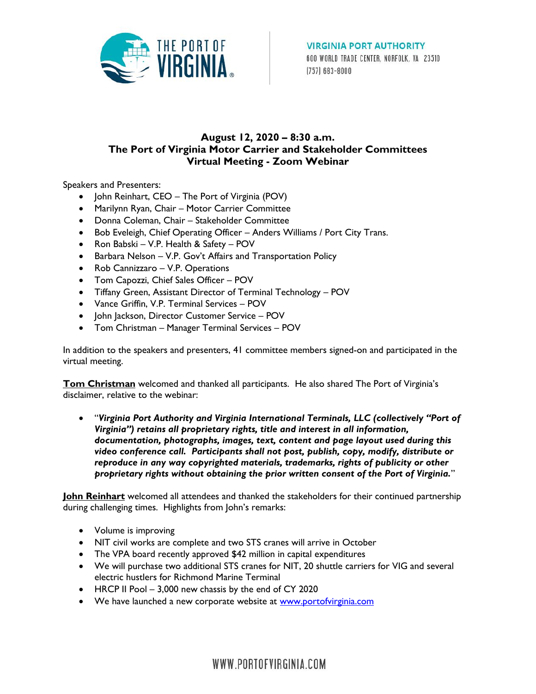

## **August 12, 2020 – 8:30 a.m. The Port of Virginia Motor Carrier and Stakeholder Committees Virtual Meeting - Zoom Webinar**

Speakers and Presenters:

- John Reinhart, CEO The Port of Virginia (POV)
- Marilynn Ryan, Chair Motor Carrier Committee
- Donna Coleman, Chair Stakeholder Committee
- Bob Eveleigh, Chief Operating Officer Anders Williams / Port City Trans.
- Ron Babski V.P. Health & Safety POV
- Barbara Nelson V.P. Gov't Affairs and Transportation Policy
- Rob Cannizzaro V.P. Operations
- Tom Capozzi, Chief Sales Officer POV
- Tiffany Green, Assistant Director of Terminal Technology POV
- Vance Griffin, V.P. Terminal Services POV
- John Jackson, Director Customer Service POV
- Tom Christman Manager Terminal Services POV

In addition to the speakers and presenters, 41 committee members signed-on and participated in the virtual meeting.

**Tom Christman** welcomed and thanked all participants. He also shared The Port of Virginia's disclaimer, relative to the webinar:

 "*Virginia Port Authority and Virginia International Terminals, LLC (collectively "Port of Virginia") retains all proprietary rights, title and interest in all information, documentation, photographs, images, text, content and page layout used during this video conference call. Participants shall not post, publish, copy, modify, distribute or reproduce in any way copyrighted materials, trademarks, rights of publicity or other proprietary rights without obtaining the prior written consent of the Port of Virginia.*"

**John Reinhart** welcomed all attendees and thanked the stakeholders for their continued partnership during challenging times. Highlights from John's remarks:

- Volume is improving
- NIT civil works are complete and two STS cranes will arrive in October
- The VPA board recently approved \$42 million in capital expenditures
- We will purchase two additional STS cranes for NIT, 20 shuttle carriers for VIG and several electric hustlers for Richmond Marine Terminal
- HRCP II Pool 3,000 new chassis by the end of CY 2020
- We have launched a new corporate website at [www.portofvirginia.com](http://www.portofvirginia.com/)

WWW.PORTOFVIRGINIA.COM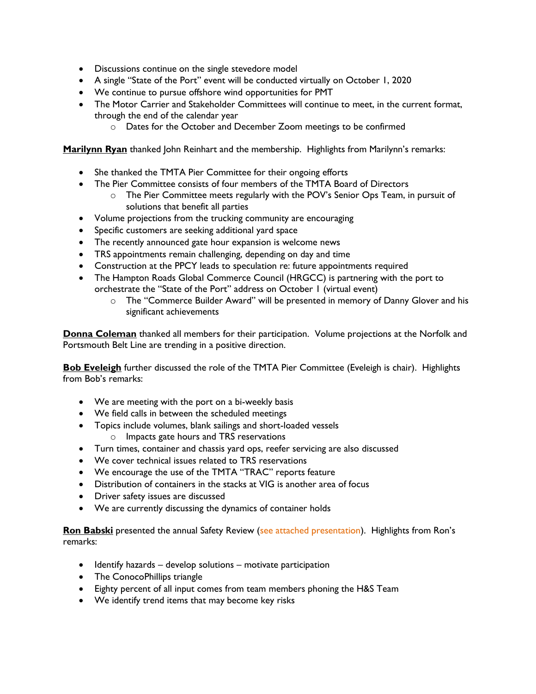- Discussions continue on the single stevedore model
- A single "State of the Port" event will be conducted virtually on October 1, 2020
- We continue to pursue offshore wind opportunities for PMT
- The Motor Carrier and Stakeholder Committees will continue to meet, in the current format, through the end of the calendar year
	- o Dates for the October and December Zoom meetings to be confirmed

**Marilynn Ryan** thanked John Reinhart and the membership. Highlights from Marilynn's remarks:

- She thanked the TMTA Pier Committee for their ongoing efforts
- The Pier Committee consists of four members of the TMTA Board of Directors
	- o The Pier Committee meets regularly with the POV's Senior Ops Team, in pursuit of solutions that benefit all parties
- Volume projections from the trucking community are encouraging
- Specific customers are seeking additional yard space
- The recently announced gate hour expansion is welcome news
- TRS appointments remain challenging, depending on day and time
- Construction at the PPCY leads to speculation re: future appointments required
- The Hampton Roads Global Commerce Council (HRGCC) is partnering with the port to orchestrate the "State of the Port" address on October 1 (virtual event)
	- o The "Commerce Builder Award" will be presented in memory of Danny Glover and his significant achievements

**Donna Coleman** thanked all members for their participation. Volume projections at the Norfolk and Portsmouth Belt Line are trending in a positive direction.

**Bob Eveleigh** further discussed the role of the TMTA Pier Committee (Eveleigh is chair). Highlights from Bob's remarks:

- We are meeting with the port on a bi-weekly basis
- We field calls in between the scheduled meetings
- Topics include volumes, blank sailings and short-loaded vessels
	- o Impacts gate hours and TRS reservations
- Turn times, container and chassis yard ops, reefer servicing are also discussed
- We cover technical issues related to TRS reservations
- We encourage the use of the TMTA "TRAC" reports feature
- Distribution of containers in the stacks at VIG is another area of focus
- Driver safety issues are discussed
- We are currently discussing the dynamics of container holds

Ron Babski presented the annual Safety Review (see attached presentation). Highlights from Ron's remarks:

- $\bullet$  Identify hazards develop solutions motivate participation
- The ConocoPhillips triangle
- Eighty percent of all input comes from team members phoning the H&S Team
- We identify trend items that may become key risks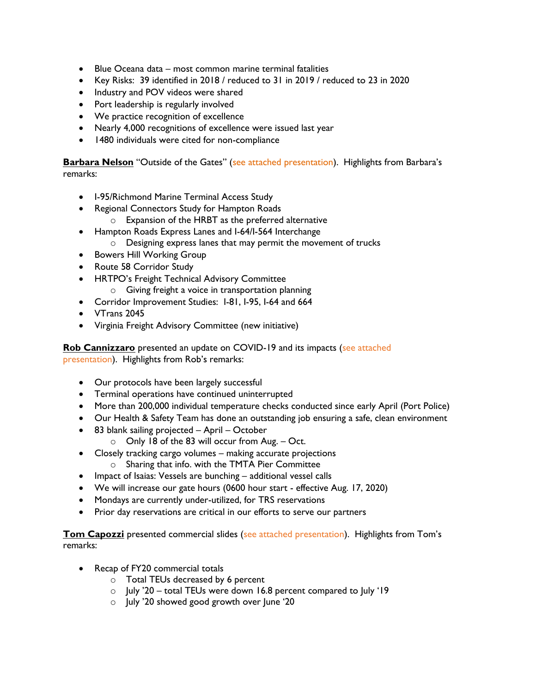- Blue Oceana data most common marine terminal fatalities
- Key Risks: 39 identified in 2018 / reduced to 31 in 2019 / reduced to 23 in 2020
- Industry and POV videos were shared
- Port leadership is regularly involved
- We practice recognition of excellence
- Nearly 4,000 recognitions of excellence were issued last year
- 1480 individuals were cited for non-compliance

**Barbara Nelson** "Outside of the Gates" (see attached presentation). Highlights from Barbara's remarks:

- I-95/Richmond Marine Terminal Access Study
- Regional Connectors Study for Hampton Roads
	- o Expansion of the HRBT as the preferred alternative
- Hampton Roads Express Lanes and I-64/I-564 Interchange o Designing express lanes that may permit the movement of trucks
- **•** Bowers Hill Working Group
- Route 58 Corridor Study
- HRTPO's Freight Technical Advisory Committee
	- o Giving freight a voice in transportation planning
- Corridor Improvement Studies: I-81, I-95, I-64 and 664
- VTrans 2045
- Virginia Freight Advisory Committee (new initiative)

**Rob Cannizzaro** presented an update on COVID-19 and its impacts (see attached presentation). Highlights from Rob's remarks:

- Our protocols have been largely successful
- Terminal operations have continued uninterrupted
- More than 200,000 individual temperature checks conducted since early April (Port Police)
- Our Health & Safety Team has done an outstanding job ensuring a safe, clean environment
- 83 blank sailing projected April October
	- o Only 18 of the 83 will occur from Aug. Oct.
- Closely tracking cargo volumes making accurate projections
	- o Sharing that info. with the TMTA Pier Committee
- Impact of Isaias: Vessels are bunching additional vessel calls
- We will increase our gate hours (0600 hour start effective Aug. 17, 2020)
- Mondays are currently under-utilized, for TRS reservations
- Prior day reservations are critical in our efforts to serve our partners

**Tom Capozzi** presented commercial slides (see attached presentation). Highlights from Tom's remarks:

- Recap of FY20 commercial totals
	- o Total TEUs decreased by 6 percent
	- $\circ$  July '20 total TEUs were down 16.8 percent compared to July '19
	- o July '20 showed good growth over June '20